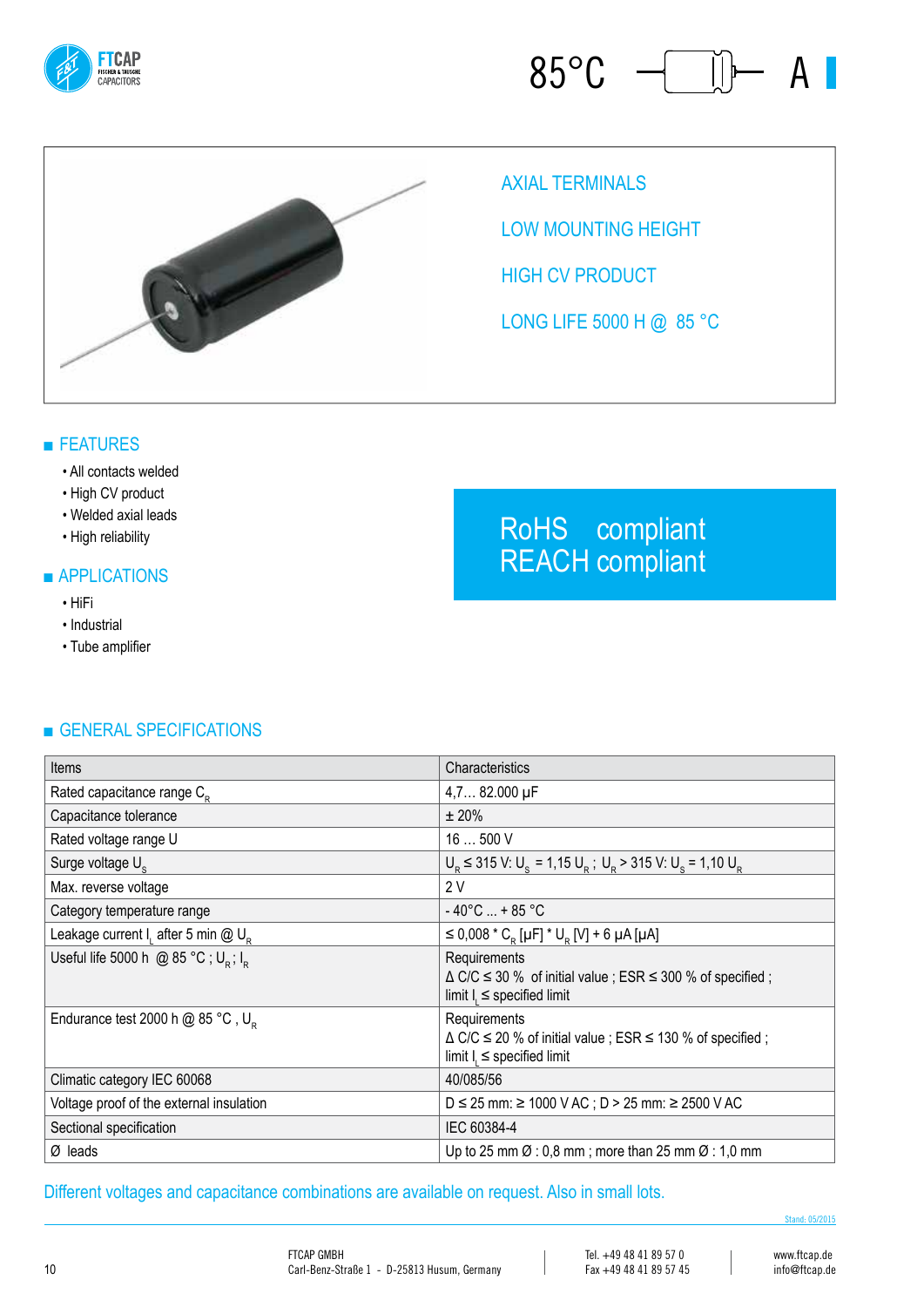





Axial terminals

LOW MOUNTING HEIGHT

**HIGH CV PRODUCT** 

LONG LIFE 5000 H @ 85 °C

### ■ FEATURES

#### • All contacts welded

- High CV product
- Welded axial leads
- High reliability

#### ■ APPLICATIONS

- HiFi
- Industrial
- Tube amplifier

## ■ GENERAL SPECIFICATIONS

| Items                                                       | Characteristics                                                                                                                 |
|-------------------------------------------------------------|---------------------------------------------------------------------------------------------------------------------------------|
| Rated capacitance range C <sub>p</sub>                      | 4,7 82.000 µF                                                                                                                   |
| Capacitance tolerance                                       | ± 20%                                                                                                                           |
| Rated voltage range U                                       | 16  500 V                                                                                                                       |
| Surge voltage U <sub>c</sub>                                | $U_{\rm B}$ $\leq$ 315 V: U <sub>s</sub> = 1,15 U <sub>s</sub> ; U <sub>s</sub> > 315 V: U <sub>s</sub> = 1,10 U <sub>s</sub>   |
| Max. reverse voltage                                        | 2V                                                                                                                              |
| Category temperature range                                  | $-40^{\circ}$ C  + 85 °C                                                                                                        |
| Leakage current I, after 5 min @ U <sub>p</sub>             | $\leq$ 0,008 $^{\star}$ C <sub>R</sub> [µF] $^{\star}$ U <sub>R</sub> [V] + 6 µA [µA]                                           |
| Useful life 5000 h @ 85 °C; U <sub>p</sub> ; I <sub>p</sub> | Requirements<br>$\triangle$ C/C $\le$ 30 % of initial value ; ESR $\le$ 300 % of specified ;<br>limit $I_i \le$ specified limit |
| Endurance test 2000 h $@$ 85 °C, U <sub>p</sub>             | Requirements<br>$\triangle$ C/C $\le$ 20 % of initial value ; ESR $\le$ 130 % of specified ;<br>limit $I_i \le$ specified limit |
| Climatic category IEC 60068                                 | 40/085/56                                                                                                                       |
| Voltage proof of the external insulation                    | $D \le 25$ mm: $\ge 1000$ V AC; $D > 25$ mm: $\ge 2500$ V AC                                                                    |
| Sectional specification                                     | IEC 60384-4                                                                                                                     |
| $\varnothing$ leads                                         | Up to 25 mm $\emptyset$ : 0,8 mm; more than 25 mm $\emptyset$ : 1,0 mm                                                          |

Different voltages and capacitance combinations are available on request. Also in small lots.

RoHS compliant REACH compliant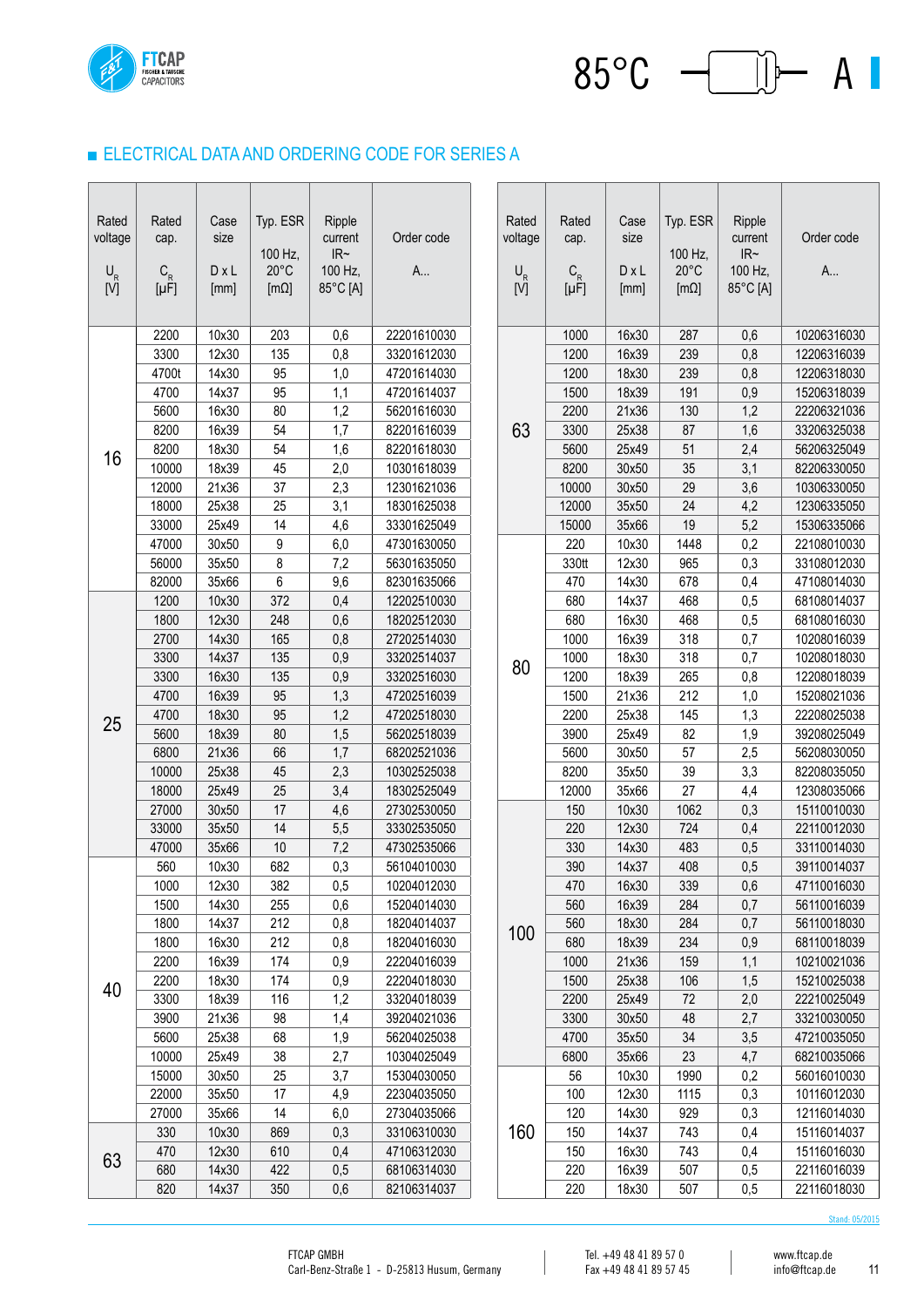

#### ■ ELECTRICAL DATA AND ORDERING CODE FOR SERIES A

| Rated<br>voltage<br>$\mathsf{U}_{\mathsf{R}}$<br>[V] | Rated<br>cap.<br>$C_R$<br>[µF] | Case<br>size<br>DxL<br>[mm] | Typ. ESR<br>100 Hz,<br>$20^{\circ}$ C<br>$[m\Omega]$ | Ripple<br>current<br>$\ensuremath{\mathsf{IR}\xspace}\xspace\ensuremath{\mathsf{--}}\xspace$<br>100 Hz,<br>85°C [A] | Order code<br>A            |    | Rated<br>voltage<br>$\mathsf{U}_{\mathsf{R}}$<br>[V] | Rated<br>cap.<br>$\mathsf{C}_{\mathsf{R}}$<br>$[\mu F]$ | Case<br>size<br>$D \times L$<br>[mm] | Typ. ESR<br>100 Hz,<br>$20^{\circ}$ C<br>$[m\Omega]$ | Ripple<br>current<br>$\ensuremath{\mathsf{IR}\xspace}\xspace\ensuremath{\mathsf{--}}\xspace$<br>100 Hz,<br>85°C [A] | Order code<br>A            |
|------------------------------------------------------|--------------------------------|-----------------------------|------------------------------------------------------|---------------------------------------------------------------------------------------------------------------------|----------------------------|----|------------------------------------------------------|---------------------------------------------------------|--------------------------------------|------------------------------------------------------|---------------------------------------------------------------------------------------------------------------------|----------------------------|
|                                                      | 2200                           | 10x30                       | 203                                                  | 0,6                                                                                                                 | 22201610030                |    |                                                      | 1000                                                    | 16x30                                | 287                                                  | 0,6                                                                                                                 | 10206316030                |
|                                                      | 3300                           | 12x30                       | 135                                                  | 0,8                                                                                                                 | 33201612030                |    |                                                      | 1200                                                    | 16x39                                | 239                                                  | 0,8                                                                                                                 | 12206316039                |
|                                                      | 4700t                          | 14x30                       | 95                                                   | 1,0                                                                                                                 | 47201614030                |    |                                                      | 1200                                                    | 18x30                                | 239                                                  | 0,8                                                                                                                 | 12206318030                |
|                                                      | 4700                           | 14x37                       | 95                                                   | 1,1                                                                                                                 | 47201614037                |    |                                                      | 1500                                                    | 18x39                                | 191                                                  | 0,9                                                                                                                 | 15206318039                |
|                                                      | 5600                           | 16x30                       | 80                                                   | 1,2                                                                                                                 | 56201616030                |    |                                                      | 2200                                                    | 21x36                                | 130                                                  | 1,2                                                                                                                 | 22206321036                |
| 16                                                   | 8200                           | 16x39                       | 54                                                   | 1,7                                                                                                                 | 82201616039                |    | 63                                                   | 3300                                                    | 25x38                                | 87                                                   | 1,6                                                                                                                 | 33206325038                |
|                                                      | 8200                           | 18x30                       | 54                                                   | 1,6                                                                                                                 | 82201618030                |    |                                                      | 5600                                                    | 25x49                                | 51                                                   | 2,4                                                                                                                 | 56206325049                |
|                                                      | 10000                          | 18x39                       | 45                                                   | 2,0                                                                                                                 | 10301618039                |    |                                                      | 8200                                                    | 30x50                                | 35                                                   | 3,1                                                                                                                 | 82206330050                |
|                                                      | 12000                          | 21x36                       | 37                                                   | 2,3                                                                                                                 | 12301621036                |    |                                                      | 10000                                                   | 30x50                                | 29                                                   | 3,6                                                                                                                 | 10306330050                |
|                                                      | 18000                          | 25x38                       | 25                                                   | 3,1                                                                                                                 | 18301625038                |    |                                                      | 12000                                                   | 35x50                                | 24                                                   | 4,2                                                                                                                 | 12306335050                |
|                                                      | 33000                          | 25x49                       | 14                                                   | 4,6                                                                                                                 | 33301625049                |    |                                                      | 15000                                                   | 35x66                                | 19                                                   | 5,2                                                                                                                 | 15306335066                |
|                                                      | 47000                          | 30x50                       | 9                                                    | 6,0                                                                                                                 | 47301630050                |    |                                                      | 220                                                     | 10x30                                | 1448                                                 | 0,2                                                                                                                 | 22108010030                |
|                                                      | 56000                          | 35x50                       | 8                                                    | 7,2                                                                                                                 | 56301635050                |    |                                                      | 330tt                                                   | 12x30                                | 965                                                  | 0,3                                                                                                                 | 33108012030                |
|                                                      | 82000                          | 35x66                       | 6                                                    | 9,6                                                                                                                 | 82301635066                |    |                                                      | 470                                                     | 14x30                                | 678                                                  | 0,4                                                                                                                 | 47108014030                |
|                                                      | 1200                           | 10x30                       | 372                                                  | 0,4                                                                                                                 | 12202510030                |    |                                                      | 680                                                     | 14x37                                | 468                                                  | 0,5                                                                                                                 | 68108014037                |
|                                                      | 1800                           | 12x30                       | 248                                                  | 0,6                                                                                                                 | 18202512030                |    |                                                      | 680                                                     | 16x30                                | 468                                                  | 0,5                                                                                                                 | 68108016030                |
|                                                      | 2700                           | 14x30                       | 165                                                  | 0,8                                                                                                                 | 27202514030                |    |                                                      | 1000                                                    | 16x39                                | 318                                                  | 0,7                                                                                                                 | 10208016039                |
|                                                      | 3300                           | 14x37                       | 135                                                  | 0,9                                                                                                                 | 33202514037                | 80 | 1000                                                 | 18x30                                                   | 318                                  | 0,7                                                  | 10208018030                                                                                                         |                            |
|                                                      | 3300                           | 16x30                       | 135                                                  | 0,9                                                                                                                 | 33202516030                |    | 1200                                                 | 18x39                                                   | 265                                  | 0,8                                                  | 12208018039                                                                                                         |                            |
|                                                      | 4700                           | 16x39                       | 95                                                   | 1,3                                                                                                                 | 47202516039                |    |                                                      | 1500                                                    | 21x36                                | 212                                                  | 1,0                                                                                                                 | 15208021036                |
| 25                                                   | 4700                           | 18x30                       | 95                                                   | 1,2                                                                                                                 | 47202518030                |    |                                                      | 2200                                                    | 25x38                                | 145                                                  | 1,3                                                                                                                 | 22208025038                |
|                                                      | 5600                           | 18x39                       | 80                                                   | 1,5                                                                                                                 | 56202518039                |    |                                                      | 3900                                                    | 25x49                                | 82                                                   | 1,9                                                                                                                 | 39208025049                |
|                                                      | 6800                           | 21x36                       | 66                                                   | 1,7                                                                                                                 | 68202521036                |    |                                                      | 5600                                                    | 30x50                                | 57                                                   | 2,5                                                                                                                 | 56208030050                |
|                                                      | 10000                          | 25x38                       | 45                                                   | 2,3                                                                                                                 | 10302525038                |    |                                                      | 8200                                                    | 35x50                                | 39                                                   | 3,3                                                                                                                 | 82208035050                |
|                                                      | 18000                          | 25x49                       | 25                                                   | 3,4                                                                                                                 | 18302525049                |    |                                                      | 12000                                                   | 35x66                                | 27                                                   | 4,4                                                                                                                 | 12308035066                |
|                                                      | 27000                          | 30x50                       | 17                                                   | 4,6                                                                                                                 | 27302530050                |    |                                                      | 150                                                     | 10x30                                | 1062                                                 | 0,3                                                                                                                 | 15110010030                |
|                                                      | 33000                          | 35x50                       | 14                                                   | 5,5                                                                                                                 | 33302535050                |    |                                                      | 220                                                     | 12x30                                | 724                                                  | 0,4                                                                                                                 | 22110012030                |
|                                                      | 47000<br>560                   | 35x66                       | 10<br>682                                            | 7,2                                                                                                                 | 47302535066                |    |                                                      | 330                                                     | 14x30                                | 483<br>408                                           | 0,5                                                                                                                 | 33110014030                |
|                                                      |                                | 10x30                       |                                                      | 0,3                                                                                                                 | 56104010030<br>10204012030 |    |                                                      | 390                                                     | 14x37                                |                                                      | 0,5                                                                                                                 | 39110014037                |
|                                                      | 1000<br>1500                   | 12x30<br>14x30              | 382<br>255                                           | 0,5<br>0,6                                                                                                          | 15204014030                |    |                                                      | 470<br>560                                              | 16x30<br>16x39                       | 339<br>284                                           | 0,6<br>0,7                                                                                                          | 47110016030<br>56110016039 |
|                                                      | 1800                           | 14x37                       | 212                                                  | 0,8                                                                                                                 | 18204014037                |    |                                                      | 560                                                     | 18x30                                | 284                                                  | 0,7                                                                                                                 | 56110018030                |
|                                                      | 1800                           | 16x30                       | 212                                                  | 0,8                                                                                                                 | 18204016030                |    | 100                                                  | 680                                                     | 18x39                                | 234                                                  | 0,9                                                                                                                 | 68110018039                |
|                                                      | 2200                           | 16x39                       | 174                                                  | 0,9                                                                                                                 | 22204016039                |    |                                                      | 1000                                                    | 21x36                                | 159                                                  | 1,1                                                                                                                 | 10210021036                |
|                                                      | 2200                           | 18x30                       | 174                                                  | 0,9                                                                                                                 | 22204018030                |    |                                                      | 1500                                                    | 25x38                                | 106                                                  | 1,5                                                                                                                 | 15210025038                |
| 40                                                   | 3300                           | 18x39                       | 116                                                  | 1,2                                                                                                                 | 33204018039                |    |                                                      | 2200                                                    | 25x49                                | 72                                                   | 2,0                                                                                                                 | 22210025049                |
|                                                      | 3900                           | 21x36                       | 98                                                   | 1,4                                                                                                                 | 39204021036                |    |                                                      | 3300                                                    | 30x50                                | 48                                                   | 2,7                                                                                                                 | 33210030050                |
|                                                      | 5600                           | 25x38                       | 68                                                   | 1,9                                                                                                                 | 56204025038                |    |                                                      | 4700                                                    | 35x50                                | 34                                                   | 3,5                                                                                                                 | 47210035050                |
|                                                      | 10000                          | 25x49                       | 38                                                   | 2,7                                                                                                                 | 10304025049                |    |                                                      | 6800                                                    | 35x66                                | 23                                                   | 4,7                                                                                                                 | 68210035066                |
|                                                      | 15000                          | 30x50                       | 25                                                   | 3,7                                                                                                                 | 15304030050                |    |                                                      | 56                                                      | 10x30                                | 1990                                                 | 0,2                                                                                                                 | 56016010030                |
|                                                      | 22000                          | 35x50                       | 17                                                   | 4,9                                                                                                                 | 22304035050                |    |                                                      | 100                                                     | 12x30                                | 1115                                                 | 0,3                                                                                                                 | 10116012030                |
|                                                      | 27000                          | 35x66                       | 14                                                   | 6,0                                                                                                                 | 27304035066                |    |                                                      | 120                                                     | 14x30                                | 929                                                  | 0,3                                                                                                                 | 12116014030                |
|                                                      | 330                            | 10x30                       | 869                                                  | 0,3                                                                                                                 | 33106310030                |    | 160                                                  | 150                                                     | 14x37                                | 743                                                  | 0,4                                                                                                                 | 15116014037                |
| 63                                                   | 470                            | 12x30                       | 610                                                  | 0,4                                                                                                                 | 47106312030                |    | 150                                                  | 16x30                                                   | 743                                  | 0,4                                                  | 15116016030                                                                                                         |                            |
|                                                      | 680                            | 14x30                       | 422                                                  | 0,5                                                                                                                 | 68106314030                |    |                                                      | 220                                                     | 16x39                                | 507                                                  | 0,5                                                                                                                 | 22116016039                |
|                                                      | 820                            | 14x37                       | 350                                                  | 0,6                                                                                                                 | 82106314037                |    |                                                      | 220                                                     | 18x30                                | 507                                                  | 0,5                                                                                                                 | 22116018030                |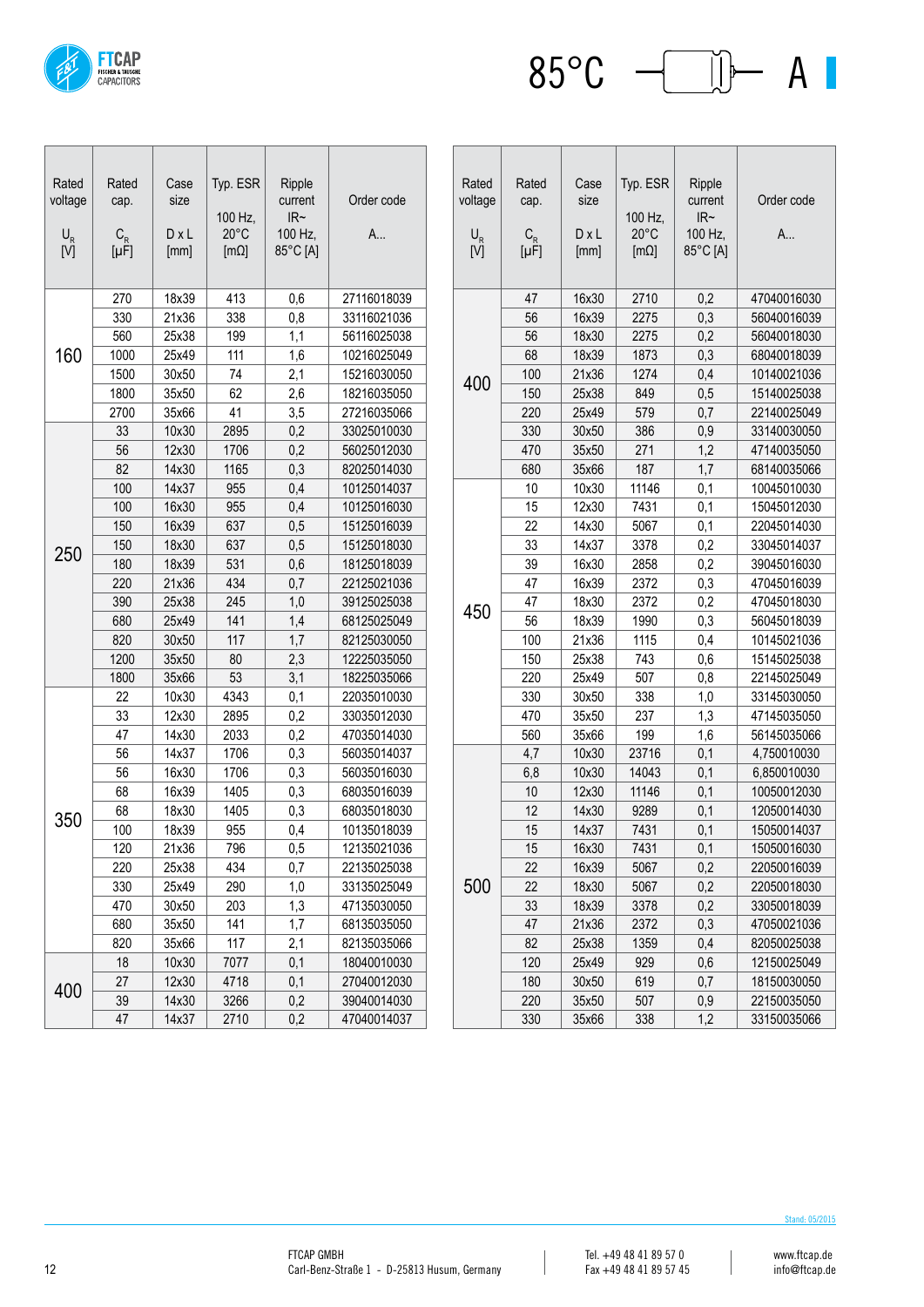

 $85^{\circ}$ C  $\leftarrow$   $\Box$  A |

| Rated<br>voltage<br>$\mathsf{U}_{\mathsf{R}}$<br>[V] | Rated<br>cap.<br>$C_R$ [µ $F$ ] | Case<br>size<br>$D \times L$<br>[mm] | Typ. ESR<br>100 Hz,<br>$20^{\circ}$ C<br>$[m\Omega]$ | Ripple<br>current<br>IR~<br>100 Hz,<br>85°C [A] | Order code<br>A |
|------------------------------------------------------|---------------------------------|--------------------------------------|------------------------------------------------------|-------------------------------------------------|-----------------|
|                                                      | 270                             | 18x39                                | 413                                                  | 0,6                                             | 27116018039     |
|                                                      | 330                             | 21x36                                | 338                                                  | 0,8                                             | 33116021036     |
|                                                      | 560                             | 25x38                                | 199                                                  | 1,1                                             | 56116025038     |
| 160                                                  | 1000                            | 25x49                                | 111                                                  | 1,6                                             | 10216025049     |
|                                                      | 1500                            | 30x50                                | 74                                                   | 2,1                                             | 15216030050     |
|                                                      | 1800                            | 35x50                                | 62                                                   | 2,6                                             | 18216035050     |
|                                                      | 2700                            | 35x66                                | 41                                                   | 3,5                                             | 27216035066     |
|                                                      | 33                              | 10x30                                | 2895                                                 | 0,2                                             | 33025010030     |
|                                                      | 56                              | 12x30                                | 1706                                                 | 0,2                                             | 56025012030     |
|                                                      | 82                              | 14x30                                | 1165                                                 | 0,3                                             | 82025014030     |
|                                                      | 100                             | 14x37                                | 955                                                  | 0,4                                             | 10125014037     |
|                                                      | 100                             | 16x30                                | 955                                                  | 0,4                                             | 10125016030     |
|                                                      | 150                             | 16x39                                | 637                                                  | 0,5                                             | 15125016039     |
| 250                                                  | 150                             | 18x30                                | 637                                                  | 0,5                                             | 15125018030     |
|                                                      | 180                             | 18x39                                | 531                                                  | 0,6                                             | 18125018039     |
|                                                      | 220                             | 21x36                                | 434                                                  | 0,7                                             | 22125021036     |
|                                                      | 390                             | 25x38                                | 245                                                  | 1,0                                             | 39125025038     |
|                                                      | 680                             | 25x49                                | 141                                                  | 1,4                                             | 68125025049     |
|                                                      | 820                             | 30x50                                | 117                                                  | 1,7                                             | 82125030050     |
|                                                      | 1200                            | 35x50                                | 80                                                   | 2,3                                             | 12225035050     |
|                                                      | 1800                            | 35x66                                | 53                                                   | 3,1                                             | 18225035066     |
|                                                      | 22                              | 10x30                                | 4343                                                 | 0,1                                             | 22035010030     |
|                                                      | 33                              | 12x30                                | 2895                                                 | 0,2                                             | 33035012030     |
|                                                      | 47                              | 14x30                                | 2033                                                 | 0,2                                             | 47035014030     |
|                                                      | 56                              | 14x37                                | 1706                                                 | 0,3                                             | 56035014037     |
|                                                      | 56                              | 16x30                                | 1706                                                 | 0,3                                             | 56035016030     |
|                                                      | 68                              | 16x39                                | 1405                                                 | 0,3                                             | 68035016039     |
| 350                                                  | 68                              | 18x30                                | 1405                                                 | 0,3                                             | 68035018030     |
|                                                      | 100                             | 18x39                                | 955                                                  | 0,4                                             | 10135018039     |
|                                                      | 120                             | 21x36                                | 796                                                  | 0,5                                             | 12135021036     |
|                                                      | 220                             | 25x38                                | 434                                                  | 0,7                                             | 22135025038     |
|                                                      | 330                             | 25x49                                | 290                                                  | 1,0                                             | 33135025049     |
|                                                      | 470                             | 30x50                                | 203                                                  | 1,3                                             | 47135030050     |
|                                                      | 680                             | 35x50                                | 141                                                  | 1,7                                             | 68135035050     |
|                                                      | 820                             | 35x66                                | 117                                                  | 2,1                                             | 82135035066     |
| 400                                                  | 18                              | 10x30                                | 7077                                                 | 0,1                                             | 18040010030     |
|                                                      | 27                              | 12x30                                | 4718                                                 | 0,1                                             | 27040012030     |
|                                                      | 39                              | 14x30                                | 3266                                                 | $_{0,2}$                                        | 39040014030     |
|                                                      | 47                              | 14x37                                | 2710                                                 | 0,2                                             | 47040014037     |

| Rated<br>voltage<br>$\mathsf{U}_{\mathsf{R}}$<br>$[\overline{V}]$ | Rated<br>cap.<br>$C_R$ [µF] | Case<br>size<br>$D \times L$<br>[mm] | Typ. ESR<br>100 Hz,<br>$20^{\circ}$ C<br>$[m\Omega]$ | Ripple<br>current<br>IR~<br>100 Hz,<br>85°C [A] | Order code<br>A |
|-------------------------------------------------------------------|-----------------------------|--------------------------------------|------------------------------------------------------|-------------------------------------------------|-----------------|
|                                                                   | 47                          | 16x30                                | 2710                                                 | 0,2                                             | 47040016030     |
|                                                                   | 56                          | 16x39                                | 2275                                                 | 0,3                                             | 56040016039     |
|                                                                   | 56                          | 18x30                                | 2275                                                 | 0,2                                             | 56040018030     |
|                                                                   | 68                          | 18x39                                | 1873                                                 | 0,3                                             | 68040018039     |
|                                                                   | 100                         | 21x36                                | 1274                                                 | 0,4                                             | 10140021036     |
| 400                                                               | 150                         | 25x38                                | 849                                                  | 0,5                                             | 15140025038     |
|                                                                   | 220                         | 25x49                                | 579                                                  | 0,7                                             | 22140025049     |
|                                                                   | 330                         | 30x50                                | 386                                                  | 0,9                                             | 33140030050     |
|                                                                   | 470                         | 35x50                                | 271                                                  | 1,2                                             | 47140035050     |
|                                                                   | 680                         | 35x66                                | 187                                                  | 1,7                                             | 68140035066     |
|                                                                   | 10                          | 10x30                                | 11146                                                | 0,1                                             | 10045010030     |
|                                                                   | 15                          | 12x30                                | 7431                                                 | 0,1                                             | 15045012030     |
|                                                                   | 22                          | 14x30                                | 5067                                                 | 0,1                                             | 22045014030     |
|                                                                   | 33                          | 14x37                                | 3378                                                 | 0,2                                             | 33045014037     |
|                                                                   | 39                          | 16x30                                | 2858                                                 | 0,2                                             | 39045016030     |
|                                                                   | 47                          | 16x39                                | 2372                                                 | 0,3                                             | 47045016039     |
|                                                                   | 47                          | 18x30                                | 2372                                                 | 0,2                                             | 47045018030     |
| 450                                                               | 56                          | 18x39                                | 1990                                                 | 0,3                                             | 56045018039     |
|                                                                   | 100                         | 21x36                                | 1115                                                 | 0,4                                             | 10145021036     |
|                                                                   | 150                         | 25x38                                | 743                                                  | 0,6                                             | 15145025038     |
|                                                                   | 220                         | 25x49                                | 507                                                  | 0,8                                             | 22145025049     |
|                                                                   | 330                         | 30x50                                | 338                                                  | 1,0                                             | 33145030050     |
|                                                                   | 470                         | 35x50                                | 237                                                  | 1,3                                             | 47145035050     |
|                                                                   | 560                         | 35x66                                | 199                                                  | 1,6                                             | 56145035066     |
|                                                                   | 4,7                         | 10x30                                | 23716                                                | 0,1                                             | 4,750010030     |
|                                                                   | 6,8                         | 10x30                                | 14043                                                | 0,1                                             | 6,850010030     |
|                                                                   | 10                          | 12x30                                | 11146                                                | 0,1                                             | 10050012030     |
|                                                                   | 12                          | 14x30                                | 9289                                                 | 0,1                                             | 12050014030     |
|                                                                   | 15                          | 14x37                                | 7431                                                 | 0,1                                             | 15050014037     |
|                                                                   | 15                          | 16x30                                | 7431                                                 | 0,1                                             | 15050016030     |
| 500                                                               | 22                          | 16x39                                | 5067                                                 | 0,2                                             | 22050016039     |
|                                                                   | 22                          | 18x30                                | 5067                                                 | 0,2                                             | 22050018030     |
|                                                                   | 33                          | 18x39                                | 3378                                                 | 0,2                                             | 33050018039     |
|                                                                   | 47                          | 21x36                                | 2372                                                 | 0,3                                             | 47050021036     |
|                                                                   | 82                          | 25x38                                | 1359                                                 | 0,4                                             | 82050025038     |
|                                                                   | 120                         | 25x49                                | 929                                                  | 0,6                                             | 12150025049     |
|                                                                   | 180                         | 30x50                                | 619                                                  | 0,7                                             | 18150030050     |
|                                                                   | 220                         | 35x50                                | 507                                                  | 0,9                                             | 22150035050     |
|                                                                   | 330                         | 35x66                                | 338                                                  | 1,2                                             | 33150035066     |